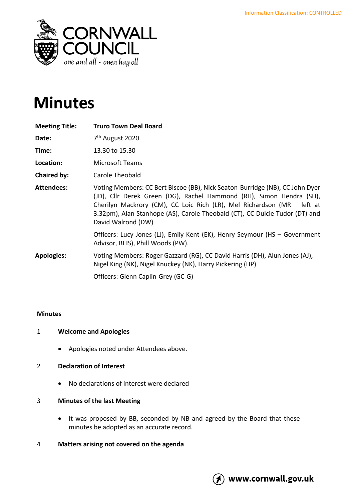

# **Minutes**

| <b>Meeting Title:</b> | <b>Truro Town Deal Board</b>                                                                                                                                                                                                                                                                                                         |
|-----------------------|--------------------------------------------------------------------------------------------------------------------------------------------------------------------------------------------------------------------------------------------------------------------------------------------------------------------------------------|
| Date:                 | 7 <sup>th</sup> August 2020                                                                                                                                                                                                                                                                                                          |
| Time:                 | 13.30 to 15.30                                                                                                                                                                                                                                                                                                                       |
| Location:             | Microsoft Teams                                                                                                                                                                                                                                                                                                                      |
| Chaired by:           | Carole Theobald                                                                                                                                                                                                                                                                                                                      |
| <b>Attendees:</b>     | Voting Members: CC Bert Biscoe (BB), Nick Seaton-Burridge (NB), CC John Dyer<br>(JD), Cllr Derek Green (DG), Rachel Hammond (RH), Simon Hendra (SH),<br>Cherilyn Mackrory (CM), CC Loic Rich (LR), Mel Richardson (MR - left at<br>3.32pm), Alan Stanhope (AS), Carole Theobald (CT), CC Dulcie Tudor (DT) and<br>David Walrond (DW) |
|                       | Officers: Lucy Jones (LJ), Emily Kent (EK), Henry Seymour (HS - Government<br>Advisor, BEIS), Phill Woods (PW).                                                                                                                                                                                                                      |
| <b>Apologies:</b>     | Voting Members: Roger Gazzard (RG), CC David Harris (DH), Alun Jones (AJ),<br>Nigel King (NK), Nigel Knuckey (NK), Harry Pickering (HP)                                                                                                                                                                                              |
|                       | Officers: Glenn Caplin-Grey (GC-G)                                                                                                                                                                                                                                                                                                   |

# **Minutes**

#### 1 **Welcome and Apologies**

• Apologies noted under Attendees above.

## 2 **Declaration of Interest**

• No declarations of interest were declared

## 3 **Minutes of the last Meeting**

- It was proposed by BB, seconded by NB and agreed by the Board that these minutes be adopted as an accurate record.
- 4 **Matters arising not covered on the agenda**

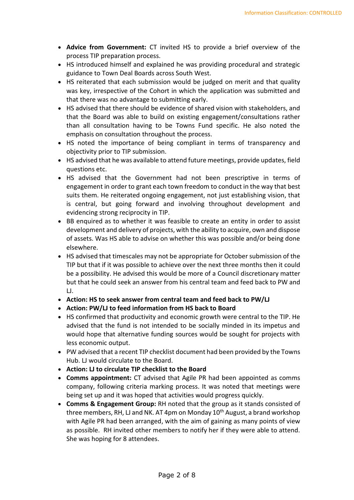- **Advice from Government:** CT invited HS to provide a brief overview of the process TIP preparation process.
- HS introduced himself and explained he was providing procedural and strategic guidance to Town Deal Boards across South West.
- HS reiterated that each submission would be judged on merit and that quality was key, irrespective of the Cohort in which the application was submitted and that there was no advantage to submitting early.
- HS advised that there should be evidence of shared vision with stakeholders, and that the Board was able to build on existing engagement/consultations rather than all consultation having to be Towns Fund specific. He also noted the emphasis on consultation throughout the process.
- HS noted the importance of being compliant in terms of transparency and objectivity prior to TIP submission.
- HS advised that he was available to attend future meetings, provide updates, field questions etc.
- HS advised that the Government had not been prescriptive in terms of engagement in order to grant each town freedom to conduct in the way that best suits them. He reiterated ongoing engagement, not just establishing vision, that is central, but going forward and involving throughout development and evidencing strong reciprocity in TIP.
- BB enquired as to whether it was feasible to create an entity in order to assist development and delivery of projects, with the ability to acquire, own and dispose of assets. Was HS able to advise on whether this was possible and/or being done elsewhere.
- HS advised that timescales may not be appropriate for October submission of the TIP but that if it was possible to achieve over the next three months then it could be a possibility. He advised this would be more of a Council discretionary matter but that he could seek an answer from his central team and feed back to PW and LJ.
- **Action: HS to seek answer from central team and feed back to PW/LJ**
- **Action: PW/LJ to feed information from HS back to Board**
- HS confirmed that productivity and economic growth were central to the TIP. He advised that the fund is not intended to be socially minded in its impetus and would hope that alternative funding sources would be sought for projects with less economic output.
- PW advised that a recent TIP checklist document had been provided by the Towns Hub. LJ would circulate to the Board.
- **Action: LJ to circulate TIP checklist to the Board**
- **Comms appointment:** CT advised that Agile PR had been appointed as comms company, following criteria marking process. It was noted that meetings were being set up and it was hoped that activities would progress quickly.
- **Comms & Engagement Group:** RH noted that the group as it stands consisted of three members, RH, LJ and NK. AT 4pm on Monday  $10<sup>th</sup>$  August, a brand workshop with Agile PR had been arranged, with the aim of gaining as many points of view as possible. RH invited other members to notify her if they were able to attend. She was hoping for 8 attendees.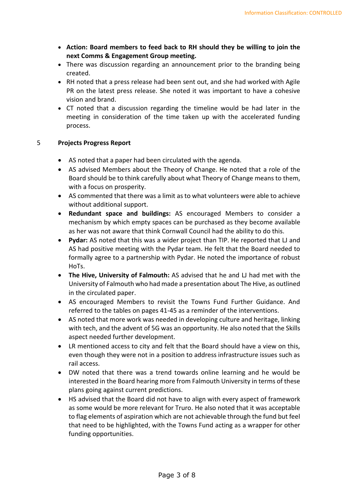- **Action: Board members to feed back to RH should they be willing to join the next Comms & Engagement Group meeting.**
- There was discussion regarding an announcement prior to the branding being created.
- RH noted that a press release had been sent out, and she had worked with Agile PR on the latest press release. She noted it was important to have a cohesive vision and brand.
- CT noted that a discussion regarding the timeline would be had later in the meeting in consideration of the time taken up with the accelerated funding process.

### 5 **Projects Progress Report**

- AS noted that a paper had been circulated with the agenda.
- AS advised Members about the Theory of Change. He noted that a role of the Board should be to think carefully about what Theory of Change means to them, with a focus on prosperity.
- AS commented that there was a limit as to what volunteers were able to achieve without additional support.
- **Redundant space and buildings:** AS encouraged Members to consider a mechanism by which empty spaces can be purchased as they become available as her was not aware that think Cornwall Council had the ability to do this.
- **Pydar:** AS noted that this was a wider project than TIP. He reported that LJ and AS had positive meeting with the Pydar team. He felt that the Board needed to formally agree to a partnership with Pydar. He noted the importance of robust HoTs.
- **The Hive, University of Falmouth:** AS advised that he and LJ had met with the University of Falmouth who had made a presentation about The Hive, as outlined in the circulated paper.
- AS encouraged Members to revisit the Towns Fund Further Guidance. And referred to the tables on pages 41-45 as a reminder of the interventions.
- AS noted that more work was needed in developing culture and heritage, linking with tech, and the advent of 5G was an opportunity. He also noted that the Skills aspect needed further development.
- LR mentioned access to city and felt that the Board should have a view on this, even though they were not in a position to address infrastructure issues such as rail access.
- DW noted that there was a trend towards online learning and he would be interested in the Board hearing more from Falmouth University in terms of these plans going against current predictions.
- HS advised that the Board did not have to align with every aspect of framework as some would be more relevant for Truro. He also noted that it was acceptable to flag elements of aspiration which are not achievable through the fund but feel that need to be highlighted, with the Towns Fund acting as a wrapper for other funding opportunities.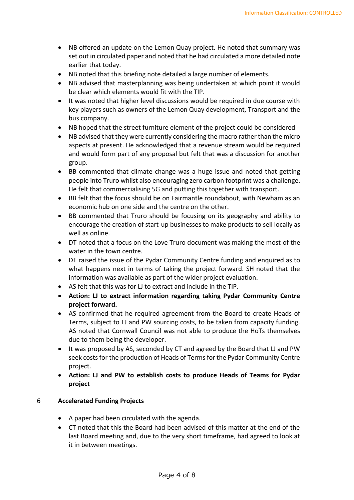- NB offered an update on the Lemon Quay project. He noted that summary was set out in circulated paper and noted that he had circulated a more detailed note earlier that today.
- NB noted that this briefing note detailed a large number of elements.
- NB advised that masterplanning was being undertaken at which point it would be clear which elements would fit with the TIP.
- It was noted that higher level discussions would be required in due course with key players such as owners of the Lemon Quay development, Transport and the bus company.
- NB hoped that the street furniture element of the project could be considered
- NB advised that they were currently considering the macro rather than the micro aspects at present. He acknowledged that a revenue stream would be required and would form part of any proposal but felt that was a discussion for another group.
- BB commented that climate change was a huge issue and noted that getting people into Truro whilst also encouraging zero carbon footprint was a challenge. He felt that commercialising 5G and putting this together with transport.
- BB felt that the focus should be on Fairmantle roundabout, with Newham as an economic hub on one side and the centre on the other.
- BB commented that Truro should be focusing on its geography and ability to encourage the creation of start-up businesses to make products to sell locally as well as online.
- DT noted that a focus on the Love Truro document was making the most of the water in the town centre.
- DT raised the issue of the Pydar Community Centre funding and enquired as to what happens next in terms of taking the project forward. SH noted that the information was available as part of the wider project evaluation.
- AS felt that this was for LJ to extract and include in the TIP.
- **Action: LJ to extract information regarding taking Pydar Community Centre project forward.**
- AS confirmed that he required agreement from the Board to create Heads of Terms, subject to LJ and PW sourcing costs, to be taken from capacity funding. AS noted that Cornwall Council was not able to produce the HoTs themselves due to them being the developer.
- It was proposed by AS, seconded by CT and agreed by the Board that LJ and PW seek costs for the production of Heads of Terms for the Pydar Community Centre project.
- **Action: LJ and PW to establish costs to produce Heads of Teams for Pydar project**

# 6 **Accelerated Funding Projects**

- A paper had been circulated with the agenda.
- CT noted that this the Board had been advised of this matter at the end of the last Board meeting and, due to the very short timeframe, had agreed to look at it in between meetings.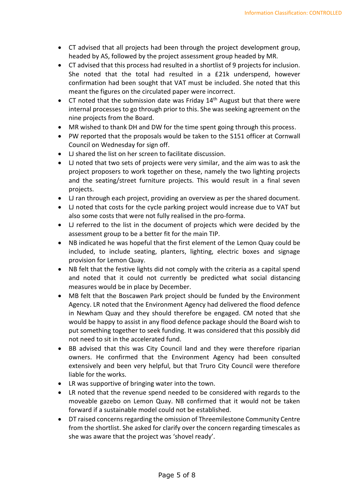- CT advised that all projects had been through the project development group, headed by AS, followed by the project assessment group headed by MR.
- CT advised that this process had resulted in a shortlist of 9 projects for inclusion. She noted that the total had resulted in a £21k underspend, however confirmation had been sought that VAT must be included. She noted that this meant the figures on the circulated paper were incorrect.
- CT noted that the submission date was Friday  $14<sup>th</sup>$  August but that there were internal processes to go through prior to this. She was seeking agreement on the nine projects from the Board.
- MR wished to thank DH and DW for the time spent going through this process.
- PW reported that the proposals would be taken to the S151 officer at Cornwall Council on Wednesday for sign off.
- LJ shared the list on her screen to facilitate discussion.
- LJ noted that two sets of projects were very similar, and the aim was to ask the project proposers to work together on these, namely the two lighting projects and the seating/street furniture projects. This would result in a final seven projects.
- LJ ran through each project, providing an overview as per the shared document.
- LJ noted that costs for the cycle parking project would increase due to VAT but also some costs that were not fully realised in the pro-forma.
- LJ referred to the list in the document of projects which were decided by the assessment group to be a better fit for the main TIP.
- NB indicated he was hopeful that the first element of the Lemon Quay could be included, to include seating, planters, lighting, electric boxes and signage provision for Lemon Quay.
- NB felt that the festive lights did not comply with the criteria as a capital spend and noted that it could not currently be predicted what social distancing measures would be in place by December.
- MB felt that the Boscawen Park project should be funded by the Environment Agency. LR noted that the Environment Agency had delivered the flood defence in Newham Quay and they should therefore be engaged. CM noted that she would be happy to assist in any flood defence package should the Board wish to put something together to seek funding. It was considered that this possibly did not need to sit in the accelerated fund.
- BB advised that this was City Council land and they were therefore riparian owners. He confirmed that the Environment Agency had been consulted extensively and been very helpful, but that Truro City Council were therefore liable for the works.
- LR was supportive of bringing water into the town.
- LR noted that the revenue spend needed to be considered with regards to the moveable gazebo on Lemon Quay. NB confirmed that it would not be taken forward if a sustainable model could not be established.
- DT raised concerns regarding the omission of Threemilestone Community Centre from the shortlist. She asked for clarify over the concern regarding timescales as she was aware that the project was 'shovel ready'.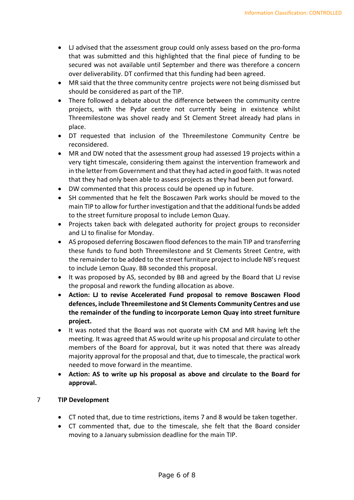- LJ advised that the assessment group could only assess based on the pro-forma that was submitted and this highlighted that the final piece of funding to be secured was not available until September and there was therefore a concern over deliverability. DT confirmed that this funding had been agreed.
- MR said that the three community centre projects were not being dismissed but should be considered as part of the TIP.
- There followed a debate about the difference between the community centre projects, with the Pydar centre not currently being in existence whilst Threemilestone was shovel ready and St Clement Street already had plans in place.
- DT requested that inclusion of the Threemilestone Community Centre be reconsidered.
- MR and DW noted that the assessment group had assessed 19 projects within a very tight timescale, considering them against the intervention framework and in the letter from Government and that they had acted in good faith. It was noted that they had only been able to assess projects as they had been put forward.
- DW commented that this process could be opened up in future.
- SH commented that he felt the Boscawen Park works should be moved to the main TIP to allow for further investigation and that the additional funds be added to the street furniture proposal to include Lemon Quay.
- Projects taken back with delegated authority for project groups to reconsider and LJ to finalise for Monday.
- AS proposed deferring Boscawen flood defences to the main TIP and transferring these funds to fund both Threemilestone and St Clements Street Centre, with the remainder to be added to the street furniture project to include NB's request to include Lemon Quay. BB seconded this proposal.
- It was proposed by AS, seconded by BB and agreed by the Board that LJ revise the proposal and rework the funding allocation as above.
- **Action: LJ to revise Accelerated Fund proposal to remove Boscawen Flood defences, include Threemilestone and St Clements Community Centres and use the remainder of the funding to incorporate Lemon Quay into street furniture project.**
- It was noted that the Board was not quorate with CM and MR having left the meeting. It was agreed that AS would write up his proposal and circulate to other members of the Board for approval, but it was noted that there was already majority approval for the proposal and that, due to timescale, the practical work needed to move forward in the meantime.
- **Action: AS to write up his proposal as above and circulate to the Board for approval.**

# 7 **TIP Development**

- CT noted that, due to time restrictions, items 7 and 8 would be taken together.
- CT commented that, due to the timescale, she felt that the Board consider moving to a January submission deadline for the main TIP.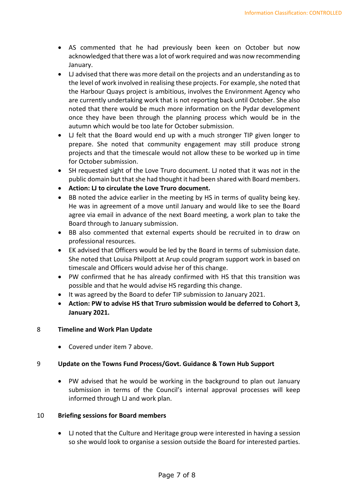- AS commented that he had previously been keen on October but now acknowledged that there was a lot of work required and was now recommending January.
- LJ advised that there was more detail on the projects and an understanding as to the level of work involved in realising these projects. For example, she noted that the Harbour Quays project is ambitious, involves the Environment Agency who are currently undertaking work that is not reporting back until October. She also noted that there would be much more information on the Pydar development once they have been through the planning process which would be in the autumn which would be too late for October submission.
- LJ felt that the Board would end up with a much stronger TIP given longer to prepare. She noted that community engagement may still produce strong projects and that the timescale would not allow these to be worked up in time for October submission.
- SH requested sight of the Love Truro document. LJ noted that it was not in the public domain but that she had thought it had been shared with Board members.
- **Action: LJ to circulate the Love Truro document.**
- BB noted the advice earlier in the meeting by HS in terms of quality being key. He was in agreement of a move until January and would like to see the Board agree via email in advance of the next Board meeting, a work plan to take the Board through to January submission.
- BB also commented that external experts should be recruited in to draw on professional resources.
- EK advised that Officers would be led by the Board in terms of submission date. She noted that Louisa Philpott at Arup could program support work in based on timescale and Officers would advise her of this change.
- PW confirmed that he has already confirmed with HS that this transition was possible and that he would advise HS regarding this change.
- It was agreed by the Board to defer TIP submission to January 2021.
- **Action: PW to advise HS that Truro submission would be deferred to Cohort 3, January 2021.**

#### 8 **Timeline and Work Plan Update**

• Covered under item 7 above.

#### 9 **Update on the Towns Fund Process/Govt. Guidance & Town Hub Support**

• PW advised that he would be working in the background to plan out January submission in terms of the Council's internal approval processes will keep informed through LJ and work plan.

#### 10 **Briefing sessions for Board members**

• LJ noted that the Culture and Heritage group were interested in having a session so she would look to organise a session outside the Board for interested parties.